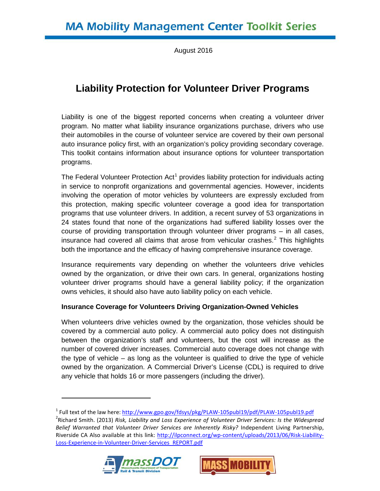August 2016

# **Liability Protection for Volunteer Driver Programs**

Liability is one of the biggest reported concerns when creating a volunteer driver program. No matter what liability insurance organizations purchase, drivers who use their automobiles in the course of volunteer service are covered by their own personal auto insurance policy first, with an organization's policy providing secondary coverage. This toolkit contains information about insurance options for volunteer transportation programs.

The Federal Volunteer Protection  $Act<sup>1</sup>$  $Act<sup>1</sup>$  $Act<sup>1</sup>$  provides liability protection for individuals acting in service to nonprofit organizations and governmental agencies. However, incidents involving the operation of motor vehicles by volunteers are expressly excluded from this protection, making specific volunteer coverage a good idea for transportation programs that use volunteer drivers. In addition, a recent survey of 53 organizations in 24 states found that none of the organizations had suffered liability losses over the course of providing transportation through volunteer driver programs – in all cases, insurance had covered all claims that arose from vehicular crashes.<sup>[2](#page-0-1)</sup> This highlights both the importance and the efficacy of having comprehensive insurance coverage.

Insurance requirements vary depending on whether the volunteers drive vehicles owned by the organization, or drive their own cars. In general, organizations hosting volunteer driver programs should have a general liability policy; if the organization owns vehicles, it should also have auto liability policy on each vehicle.

## **Insurance Coverage for Volunteers Driving Organization-Owned Vehicles**

When volunteers drive vehicles owned by the organization, those vehicles should be covered by a commercial auto policy. A commercial auto policy does not distinguish between the organization's staff and volunteers, but the cost will increase as the number of covered driver increases. Commercial auto coverage does not change with the type of vehicle – as long as the volunteer is qualified to drive the type of vehicle owned by the organization. A Commercial Driver's License (CDL) is required to drive any vehicle that holds 16 or more passengers (including the driver).

<span id="page-0-1"></span><span id="page-0-0"></span><sup>1</sup> Full text of the law here: http://www.gpo.gov/fdsys/pkg/PLAW-105publ19/pdf/PLAW-105publ19.pdf <sup>2</sup> Richard Smith. (2013) *Risk, Liability and Loss Experience of Volunteer Driver Services: Is the Widespread Belief Warranted that Volunteer Driver Services are Inherently Risky?* Independent Living Partnership, Riverside CA Also available at this link: [http://ilpconnect.org/wp-content/uploads/2013/06/Risk-Liability-](http://ilpconnect.org/wp-content/uploads/2013/06/Risk-Liability-Loss-Experience-in-Volunteer-Driver-Services_REPORT.pdf)[Loss-Experience-in-Volunteer-Driver-Services\\_REPORT.pdf](http://ilpconnect.org/wp-content/uploads/2013/06/Risk-Liability-Loss-Experience-in-Volunteer-Driver-Services_REPORT.pdf) 



 $\ddot{\phantom{a}}$ 

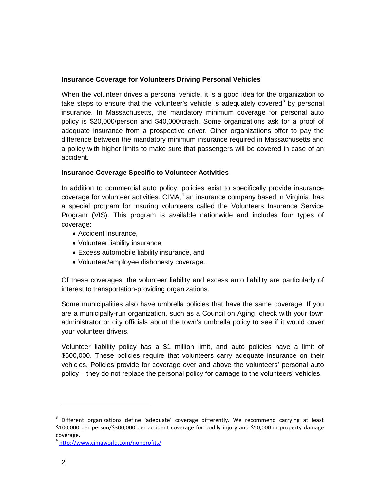## **Insurance Coverage for Volunteers Driving Personal Vehicles**

When the volunteer drives a personal vehicle, it is a good idea for the organization to take steps to ensure that the volunteer's vehicle is adequately covered<sup>[3](#page-1-0)</sup> by personal insurance. In Massachusetts, the mandatory minimum coverage for personal auto policy is \$20,000/person and \$40,000/crash. Some organizations ask for a proof of adequate insurance from a prospective driver. Other organizations offer to pay the difference between the mandatory minimum insurance required in Massachusetts and a policy with higher limits to make sure that passengers will be covered in case of an accident.

## **Insurance Coverage Specific to Volunteer Activities**

In addition to commercial auto policy, policies exist to specifically provide insurance coverage for volunteer activities. CIMA, $<sup>4</sup>$  $<sup>4</sup>$  $<sup>4</sup>$  an insurance company based in Virginia, has</sup> a special program for insuring volunteers called the Volunteers Insurance Service Program (VIS). This program is available nationwide and includes four types of coverage:

- Accident insurance,
- Volunteer liability insurance,
- Excess automobile liability insurance, and
- Volunteer/employee dishonesty coverage.

Of these coverages, the volunteer liability and excess auto liability are particularly of interest to transportation-providing organizations.

Some municipalities also have umbrella policies that have the same coverage. If you are a municipally-run organization, such as a Council on Aging, check with your town administrator or city officials about the town's umbrella policy to see if it would cover your volunteer drivers.

Volunteer liability policy has a \$1 million limit, and auto policies have a limit of \$500,000. These policies require that volunteers carry adequate insurance on their vehicles. Policies provide for coverage over and above the volunteers' personal auto policy – they do not replace the personal policy for damage to the volunteers' vehicles.

 $\overline{a}$ 

<span id="page-1-0"></span> $3$  Different organizations define 'adequate' coverage differently. We recommend carrying at least \$100,000 per person/\$300,000 per accident coverage for bodily injury and \$50,000 in property damage coverage.

<span id="page-1-1"></span><sup>4</sup> <http://www.cimaworld.com/nonprofits/>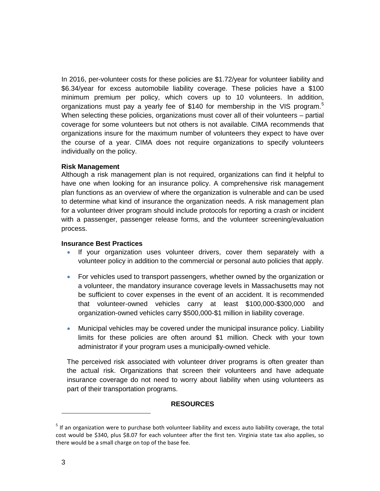In 2016, per-volunteer costs for these policies are \$1.72/year for volunteer liability and \$6.34/year for excess automobile liability coverage. These policies have a \$100 minimum premium per policy, which covers up to 10 volunteers. In addition, organizations must pay a yearly fee of \$140 for membership in the VIS program.<sup>[5](#page-2-0)</sup> When selecting these policies, organizations must cover all of their volunteers – partial coverage for some volunteers but not others is not available. CIMA recommends that organizations insure for the maximum number of volunteers they expect to have over the course of a year. CIMA does not require organizations to specify volunteers individually on the policy.

#### **Risk Management**

Although a risk management plan is not required, organizations can find it helpful to have one when looking for an insurance policy. A comprehensive risk management plan functions as an overview of where the organization is vulnerable and can be used to determine what kind of insurance the organization needs. A risk management plan for a volunteer driver program should include protocols for reporting a crash or incident with a passenger, passenger release forms, and the volunteer screening/evaluation process.

#### **Insurance Best Practices**

- If your organization uses volunteer drivers, cover them separately with a volunteer policy in addition to the commercial or personal auto policies that apply.
- For vehicles used to transport passengers, whether owned by the organization or a volunteer, the mandatory insurance coverage levels in Massachusetts may not be sufficient to cover expenses in the event of an accident. It is recommended that volunteer-owned vehicles carry at least \$100,000-\$300,000 and organization-owned vehicles carry \$500,000-\$1 million in liability coverage.
- Municipal vehicles may be covered under the municipal insurance policy. Liability limits for these policies are often around \$1 million. Check with your town administrator if your program uses a municipally-owned vehicle.

The perceived risk associated with volunteer driver programs is often greater than the actual risk. Organizations that screen their volunteers and have adequate insurance coverage do not need to worry about liability when using volunteers as part of their transportation programs.

## **RESOURCES**

 $\ddot{\phantom{a}}$ 

<span id="page-2-0"></span> $<sup>5</sup>$  If an organization were to purchase both volunteer liability and excess auto liability coverage, the total</sup> cost would be \$340, plus \$8.07 for each volunteer after the first ten. Virginia state tax also applies, so there would be a small charge on top of the base fee.